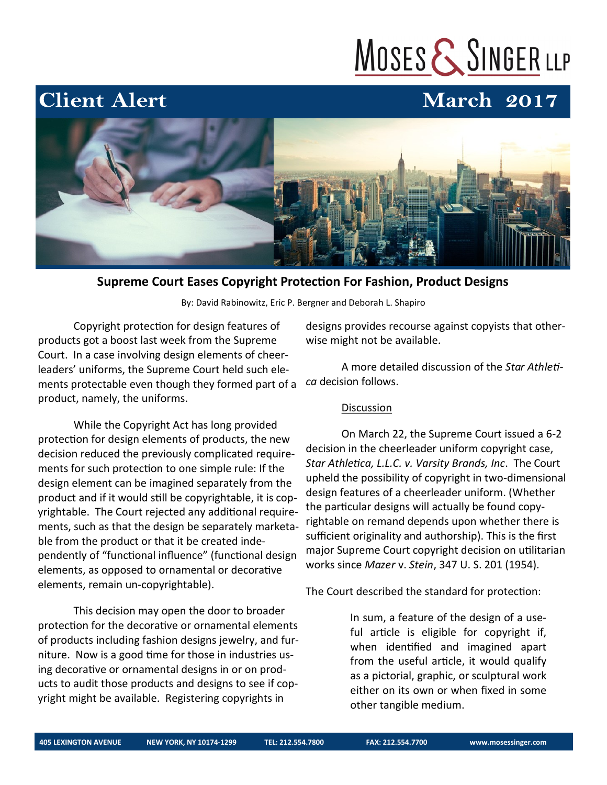# MOSES & SINGER LLP

### **March 2017**



#### **Supreme Court Eases Copyright Protection For Fashion, Product Designs**

By: David Rabinowitz, Eric P. Bergner and Deborah L. Shapiro

Copyright protection for design features of products got a boost last week from the Supreme Court. In a case involving design elements of cheerleaders' uniforms, the Supreme Court held such elements protectable even though they formed part of a product, namely, the uniforms.

**Client Alert** 

While the Copyright Act has long provided protection for design elements of products, the new decision reduced the previously complicated requirements for such protection to one simple rule: If the design element can be imagined separately from the product and if it would still be copyrightable, it is copyrightable. The Court rejected any additional requirements, such as that the design be separately marketable from the product or that it be created independently of "functional influence" (functional design elements, as opposed to ornamental or decorative elements, remain un-copyrightable).

This decision may open the door to broader protection for the decorative or ornamental elements of products including fashion designs jewelry, and furniture. Now is a good time for those in industries using decorative or ornamental designs in or on products to audit those products and designs to see if copyright might be available. Registering copyrights in

designs provides recourse against copyists that otherwise might not be available.

A more detailed discussion of the *Star Athletica* decision follows.

#### **Discussion**

On March 22, the Supreme Court issued a 6-2 decision in the cheerleader uniform copyright case, *Star Athletica, L.L.C. v. Varsity Brands, Inc*. The Court upheld the possibility of copyright in two-dimensional design features of a cheerleader uniform. (Whether the particular designs will actually be found copyrightable on remand depends upon whether there is sufficient originality and authorship). This is the first major Supreme Court copyright decision on utilitarian works since *Mazer* v. *Stein*, 347 U. S. 201 (1954).

The Court described the standard for protection:

In sum, a feature of the design of a useful article is eligible for copyright if, when identified and imagined apart from the useful article, it would qualify as a pictorial, graphic, or sculptural work either on its own or when fixed in some other tangible medium.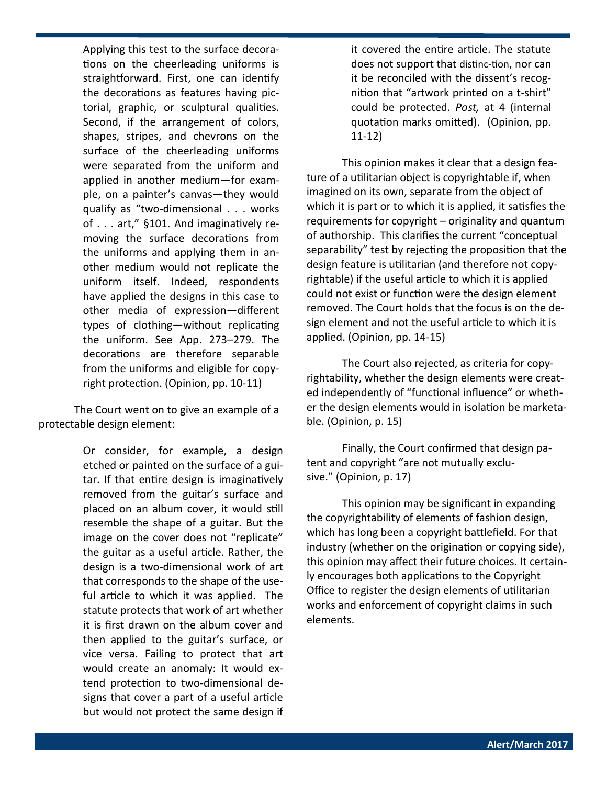Applying this test to the surface decorations on the cheerleading uniforms is straightforward. First, one can identify the decorations as features having pictorial, graphic, or sculptural qualities. Second, if the arrangement of colors, shapes, stripes, and chevrons on the surface of the cheerleading uniforms were separated from the uniform and applied in another medium—for example, on a painter's canvas—they would qualify as "two-dimensional . . . works of . . . art," §101. And imaginatively removing the surface decorations from the uniforms and applying them in another medium would not replicate the uniform itself. Indeed, respondents have applied the designs in this case to other media of expression—different types of clothing—without replicating the uniform. See App. 273–279. The decorations are therefore separable from the uniforms and eligible for copyright protection. (Opinion, pp. 10-11)

The Court went on to give an example of a protectable design element:

> Or consider, for example, a design etched or painted on the surface of a guitar. If that entire design is imaginatively removed from the guitar's surface and placed on an album cover, it would still resemble the shape of a guitar. But the image on the cover does not "replicate" the guitar as a useful article. Rather, the design is a two-dimensional work of art that corresponds to the shape of the useful article to which it was applied. The statute protects that work of art whether it is first drawn on the album cover and then applied to the guitar's surface, or vice versa. Failing to protect that art would create an anomaly: It would extend protection to two-dimensional designs that cover a part of a useful article but would not protect the same design if

it covered the entire article. The statute does not support that distinc-tion, nor can it be reconciled with the dissent's recognition that "artwork printed on a t-shirt" could be protected. *Post,* at 4 (internal quotation marks omitted). (Opinion, pp. 11-12)

This opinion makes it clear that a design feature of a utilitarian object is copyrightable if, when imagined on its own, separate from the object of which it is part or to which it is applied, it satisfies the requirements for copyright – originality and quantum of authorship. This clarifies the current "conceptual separability" test by rejecting the proposition that the design feature is utilitarian (and therefore not copyrightable) if the useful article to which it is applied could not exist or function were the design element removed. The Court holds that the focus is on the design element and not the useful article to which it is applied. (Opinion, pp. 14-15)

The Court also rejected, as criteria for copyrightability, whether the design elements were created independently of "functional influence" or whether the design elements would in isolation be marketable. (Opinion, p. 15)

Finally, the Court confirmed that design patent and copyright "are not mutually exclusive." (Opinion, p. 17)

This opinion may be significant in expanding the copyrightability of elements of fashion design, which has long been a copyright battlefield. For that industry (whether on the origination or copying side), this opinion may affect their future choices. It certainly encourages both applications to the Copyright Office to register the design elements of utilitarian works and enforcement of copyright claims in such elements.